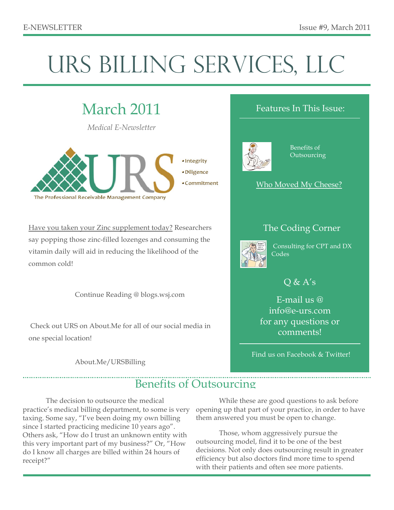# URS BILLING SERVICES, LLC

## March 2011

*Medical E-Newsletter*



Have you taken your Zinc supplement today? Researchers say popping those zinc-filled lozenges and consuming the vitamin daily will aid in reducing the likelihood of the common cold!

Continue Reading @ blogs.wsj.com

 Check out URS on About.Me for all of our social media in one special location!

About.Me/URSBilling

#### Features In This Issue:



 Benefits of **Outsourcing** 



#### The Coding Corner



 Consulting for CPT and DX **Codes** 

### $Q & A's$

E-mail us @ info@e-urs.com for any questions or comments!

Find us on Facebook & Twitter!

## Benefits of Outsourcing

The decision to outsource the medical practice's medical billing department, to some is very taxing. Some say, "I've been doing my own billing since I started practicing medicine 10 years ago". Others ask, "How do I trust an unknown entity with this very important part of my business?" Or, "How do I know all charges are billed within 24 hours of receipt?"

While these are good questions to ask before opening up that part of your practice, in order to have them answered you must be open to change.

Those, whom aggressively pursue the outsourcing model, find it to be one of the best decisions. Not only does outsourcing result in greater efficiency but also doctors find more time to spend with their patients and often see more patients.